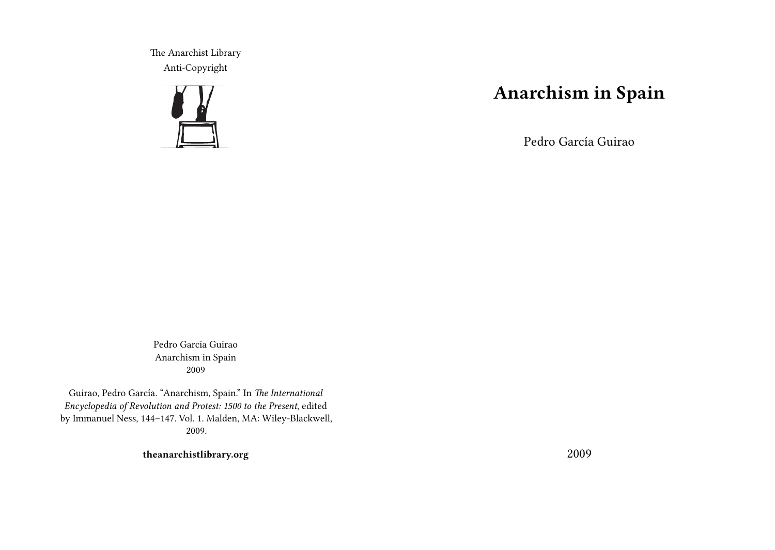The Anarchist Library Anti-Copyright



## **Anarchism in Spain**

Pedro García Guirao

Pedro García Guirao Anarchism in Spain 2009

Guirao, Pedro García. "Anarchism, Spain." In *The International Encyclopedia of Revolution and Protest: 1500 to the Present*, edited by Immanuel Ness, 144–147. Vol. 1. Malden, MA: Wiley-Blackwell, 2009.

**theanarchistlibrary.org**

2009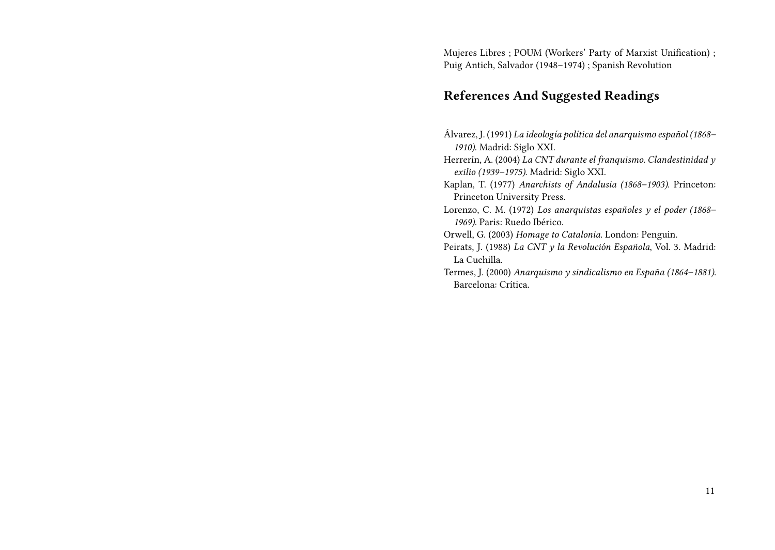Mujeres Libres ; POUM (Workers' Party of Marxist Unification) ; Puig Antich, Salvador (1948–1974) ; Spanish Revolution

## **References And Suggested Readings**

- Álvarez, J. (1991) *La ideología política del anarquismo español (1868– 1910)*. Madrid: Siglo XXI.
- Herrerín, A. (2004) *La CNT durante el franquismo. Clandestinidad y exilio (1939–1975)*. Madrid: Siglo XXI.
- Kaplan, T. (1977) *Anarchists of Andalusia (1868–1903)*. Princeton: Princeton University Press.
- Lorenzo, C. M. (1972) *Los anarquistas españoles y el poder (1868– 1969)*. Paris: Ruedo Ibérico.
- Orwell, G. (2003) *Homage to Catalonia*. London: Penguin.
- Peirats, J. (1988) *La CNT y la Revolución Española*, Vol. 3. Madrid: La Cuchilla.
- Termes, J. (2000) *Anarquismo y sindicalismo en España (1864–1881)*. Barcelona: Crítica.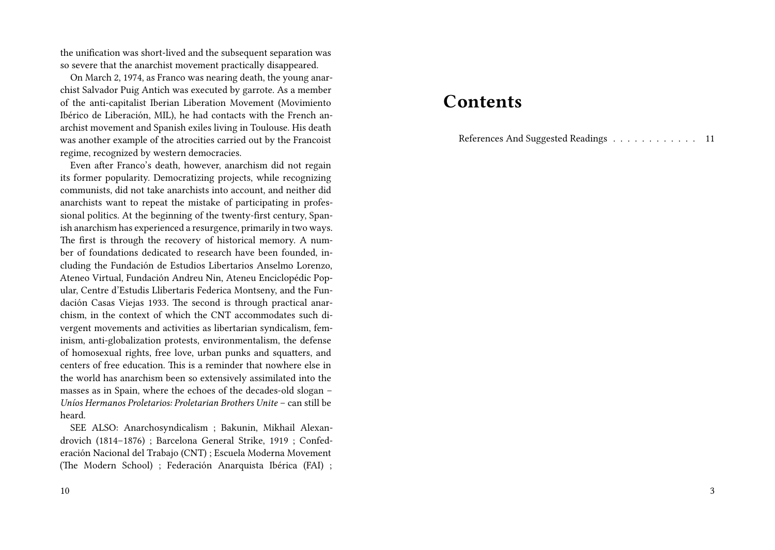the unification was short-lived and the subsequent separation was so severe that the anarchist movement practically disappeared.

On March 2, 1974, as Franco was nearing death, the young anarchist Salvador Puig Antich was executed by garrote. As a member of the anti-capitalist Iberian Liberation Movement (Movimiento Ibérico de Liberación, MIL), he had contacts with the French anarchist movement and Spanish exiles living in Toulouse. His death was another example of the atrocities carried out by the Francoist regime, recognized by western democracies.

Even after Franco's death, however, anarchism did not regain its former popularity. Democratizing projects, while recognizing communists, did not take anarchists into account, and neither did anarchists want to repeat the mistake of participating in professional politics. At the beginning of the twenty-first century, Spanish anarchism has experienced a resurgence, primarily in two ways. The first is through the recovery of historical memory. A number of foundations dedicated to research have been founded, including the Fundación de Estudios Libertarios Anselmo Lorenzo, Ateneo Virtual, Fundación Andreu Nin, Ateneu Enciclopédic Popular, Centre d'Estudis Llibertaris Federica Montseny, and the Fundación Casas Viejas 1933. The second is through practical anarchism, in the context of which the CNT accommodates such divergent movements and activities as libertarian syndicalism, feminism, anti-globalization protests, environmentalism, the defense of homosexual rights, free love, urban punks and squatters, and centers of free education. This is a reminder that nowhere else in the world has anarchism been so extensively assimilated into the masses as in Spain, where the echoes of the decades-old slogan – *Uníos Hermanos Proletarios: Proletarian Brothers Unite* – can still be heard.

SEE ALSO: Anarchosyndicalism ; Bakunin, Mikhail Alexandrovich (1814–1876) ; Barcelona General Strike, 1919 ; Confederación Nacional del Trabajo (CNT) ; Escuela Moderna Movement (The Modern School) ; Federación Anarquista Ibérica (FAI) ;

## **Contents**

References And Suggested Readings . . . . . . . . . . . . 11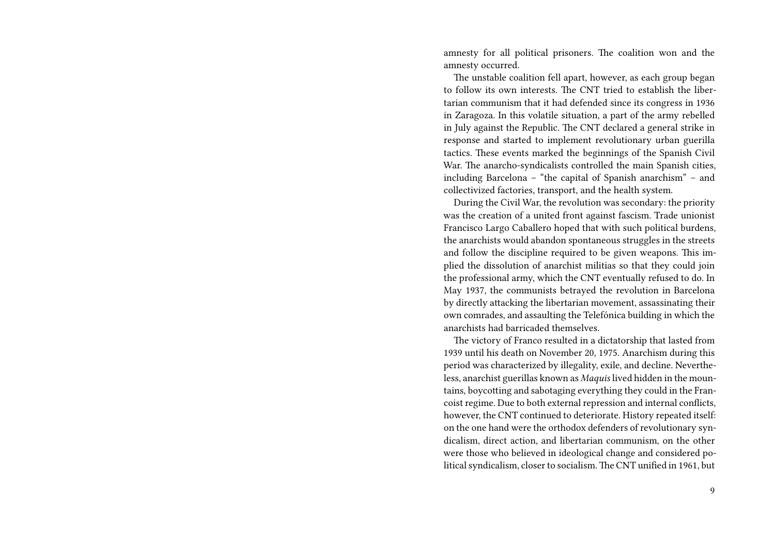amnesty for all political prisoners. The coalition won and the amnesty occurred.

The unstable coalition fell apart, however, as each group began to follow its own interests. The CNT tried to establish the libertarian communism that it had defended since its congress in 1936 in Zaragoza. In this volatile situation, a part of the army rebelled in July against the Republic. The CNT declared a general strike in response and started to implement revolutionary urban guerilla tactics. These events marked the beginnings of the Spanish Civil War. The anarcho-syndicalists controlled the main Spanish cities, including Barcelona – "the capital of Spanish anarchism" – and collectivized factories, transport, and the health system.

During the Civil War, the revolution was secondary: the priority was the creation of a united front against fascism. Trade unionist Francisco Largo Caballero hoped that with such political burdens, the anarchists would abandon spontaneous struggles in the streets and follow the discipline required to be given weapons. This implied the dissolution of anarchist militias so that they could join the professional army, which the CNT eventually refused to do. In May 1937, the communists betrayed the revolution in Barcelona by directly attacking the libertarian movement, assassinating their own comrades, and assaulting the Telefónica building in which the anarchists had barricaded themselves.

The victory of Franco resulted in a dictatorship that lasted from 1939 until his death on November 20, 1975. Anarchism during this period was characterized by illegality, exile, and decline. Nevertheless, anarchist guerillas known as *Maquis* lived hidden in the mountains, boycotting and sabotaging everything they could in the Francoist regime. Due to both external repression and internal conflicts, however, the CNT continued to deteriorate. History repeated itself: on the one hand were the orthodox defenders of revolutionary syndicalism, direct action, and libertarian communism, on the other were those who believed in ideological change and considered political syndicalism, closer to socialism. The CNT unified in 1961, but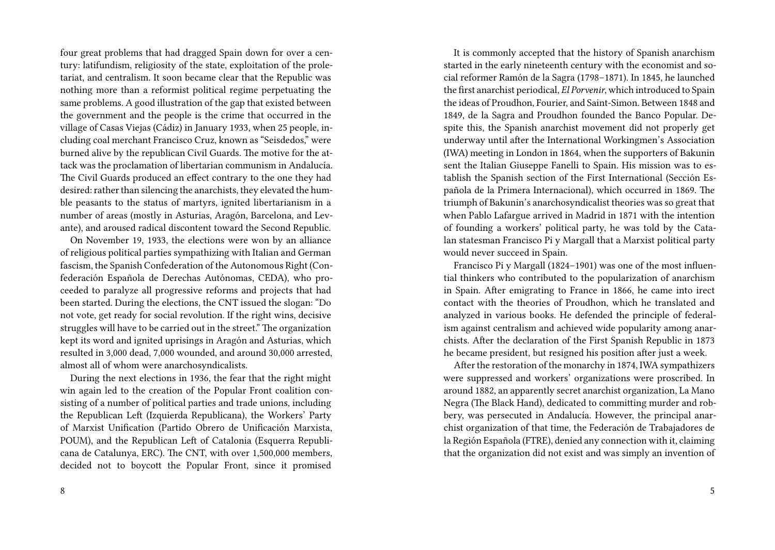four great problems that had dragged Spain down for over a century: latifundism, religiosity of the state, exploitation of the proletariat, and centralism. It soon became clear that the Republic was nothing more than a reformist political regime perpetuating the same problems. A good illustration of the gap that existed between the government and the people is the crime that occurred in the village of Casas Viejas (Cádiz) in January 1933, when 25 people, including coal merchant Francisco Cruz, known as "Seisdedos," were burned alive by the republican Civil Guards. The motive for the attack was the proclamation of libertarian communism in Andalucía. The Civil Guards produced an effect contrary to the one they had desired: rather than silencing the anarchists, they elevated the humble peasants to the status of martyrs, ignited libertarianism in a number of areas (mostly in Asturias, Aragón, Barcelona, and Levante), and aroused radical discontent toward the Second Republic.

On November 19, 1933, the elections were won by an alliance of religious political parties sympathizing with Italian and German fascism, the Spanish Confederation of the Autonomous Right (Confederación Española de Derechas Autónomas, CEDA), who proceeded to paralyze all progressive reforms and projects that had been started. During the elections, the CNT issued the slogan: "Do not vote, get ready for social revolution. If the right wins, decisive struggles will have to be carried out in the street." The organization kept its word and ignited uprisings in Aragón and Asturias, which resulted in 3,000 dead, 7,000 wounded, and around 30,000 arrested, almost all of whom were anarchosyndicalists.

During the next elections in 1936, the fear that the right might win again led to the creation of the Popular Front coalition consisting of a number of political parties and trade unions, including the Republican Left (Izquierda Republicana), the Workers' Party of Marxist Unification (Partido Obrero de Unificación Marxista, POUM), and the Republican Left of Catalonia (Esquerra Republicana de Catalunya, ERC). The CNT, with over 1,500,000 members, decided not to boycott the Popular Front, since it promised

It is commonly accepted that the history of Spanish anarchism started in the early nineteenth century with the economist and social reformer Ramón de la Sagra (1798–1871). In 1845, he launched the first anarchist periodical, *El Porvenir*, which introduced to Spain the ideas of Proudhon, Fourier, and Saint-Simon. Between 1848 and 1849, de la Sagra and Proudhon founded the Banco Popular. Despite this, the Spanish anarchist movement did not properly get underway until after the International Workingmen's Association (IWA) meeting in London in 1864, when the supporters of Bakunin sent the Italian Giuseppe Fanelli to Spain. His mission was to establish the Spanish section of the First International (Sección Española de la Primera Internacional), which occurred in 1869. The triumph of Bakunin's anarchosyndicalist theories was so great that when Pablo Lafargue arrived in Madrid in 1871 with the intention of founding a workers' political party, he was told by the Catalan statesman Francisco Pi y Margall that a Marxist political party would never succeed in Spain.

Francisco Pi y Margall (1824–1901) was one of the most influential thinkers who contributed to the popularization of anarchism in Spain. After emigrating to France in 1866, he came into irect contact with the theories of Proudhon, which he translated and analyzed in various books. He defended the principle of federalism against centralism and achieved wide popularity among anarchists. After the declaration of the First Spanish Republic in 1873 he became president, but resigned his position after just a week.

After the restoration of the monarchy in 1874, IWA sympathizers were suppressed and workers' organizations were proscribed. In around 1882, an apparently secret anarchist organization, La Mano Negra (The Black Hand), dedicated to committing murder and robbery, was persecuted in Andalucía. However, the principal anarchist organization of that time, the Federación de Trabajadores de la Región Española (FTRE), denied any connection with it, claiming that the organization did not exist and was simply an invention of